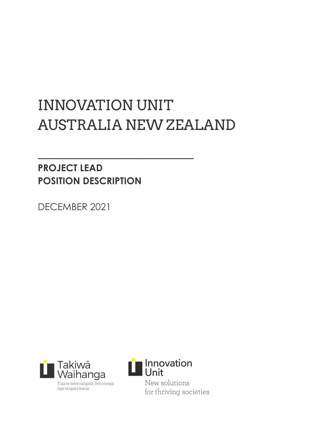# INNOVATION UNIT AUSTRALIA NEW ZEALAND

**\_\_\_\_\_\_\_\_\_\_\_\_\_\_\_\_\_\_\_\_\_\_\_\_\_\_\_\_\_\_\_\_\_**

# **PROJECT LEAD POSITION DESCRIPTION**

DECEMBER 2021



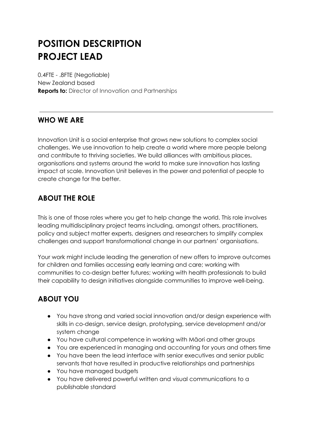# **POSITION DESCRIPTION PROJECT LEAD**

0.4FTE - .8FTE (Negotiable) New Zealand based **Reports to:** Director of Innovation and Partnerships

# **WHO WE ARE**

Innovation Unit is a social enterprise that grows new solutions to complex social challenges. We use innovation to help create a world where more people belong and contribute to thriving societies. We build alliances with ambitious places, organisations and systems around the world to make sure innovation has lasting impact at scale. Innovation Unit believes in the power and potential of people to create change for the better.

# **ABOUT THE ROLE**

This is one of those roles where you get to help change the world. This role involves leading multidisciplinary project teams including, amongst others, practitioners, policy and subject matter experts, designers and researchers to simplify complex challenges and support transformational change in our partners' organisations.

Your work might include leading the generation of new offers to improve outcomes for children and families accessing early learning and care; working with communities to co-design better futures; working with health professionals to build their capability to design initiatives alongside communities to improve well-being.

# **ABOUT YOU**

- You have strong and varied social innovation and/or design experience with skills in co-design, service design, prototyping, service development and/or system change
- You have cultural competence in working with Māori and other groups
- You are experienced in managing and accounting for yours and others time
- You have been the lead interface with senior executives and senior public servants that have resulted in productive relationships and partnerships
- You have managed budgets
- You have delivered powerful written and visual communications to a publishable standard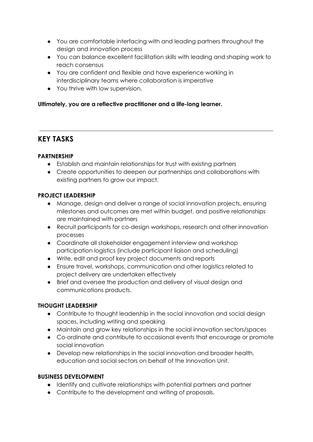- You are comfortable interfacing with and leading partners throughout the design and innovation process
- You can balance excellent facilitation skills with leading and shaping work to reach consensus
- You are confident and flexible and have experience working in interdisciplinary teams where collaboration is imperative
- You thrive with low supervision.

#### **Ultimately, you are a reflective practitioner and a life-long learner.**

## **KEY TASKS**

#### **PARTNERSHIP**

- Establish and maintain relationships for trust with existing partners
- Create opportunities to deepen our partnerships and collaborations with existing partners to grow our impact.

#### **PROJECT LEADERSHIP**

- Manage, design and deliver a range of social innovation projects, ensuring milestones and outcomes are met within budget, and positive relationships are maintained with partners
- Recruit participants for co-design workshops, research and other innovation processes
- Coordinate all stakeholder engagement interview and workshop participation logistics (include participant liaison and scheduling)
- Write, edit and proof key project documents and reports
- Ensure travel, workshops, communication and other logistics related to project delivery are undertaken effectively
- Brief and oversee the production and delivery of visual design and communications products.

#### **THOUGHT LEADERSHIP**

- Contribute to thought leadership in the social innovation and social design spaces, including writing and speaking
- Maintain and grow key relationships in the social innovation sectors/spaces
- Co-ordinate and contribute to occasional events that encourage or promote social innovation
- Develop new relationships in the social innovation and broader health, education and social sectors on behalf of the Innovation Unit.

#### **BUSINESS DEVELOPMENT**

- Identify and cultivate relationships with potential partners and partner
- Contribute to the development and writing of proposals.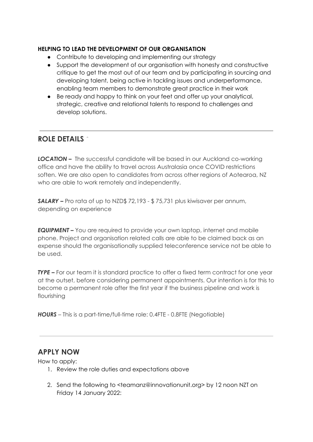#### **HELPING TO LEAD THE DEVELOPMENT OF OUR ORGANISATION**

- Contribute to developing and implementing our strategy
- Support the development of our organisation with honesty and constructive critique to get the most out of our team and by participating in sourcing and developing talent, being active in tackling issues and underperformance, enabling team members to demonstrate great practice in their work
- Be ready and happy to think on your feet and offer up your analytical, strategic, creative and relational talents to respond to challenges and develop solutions.

### **ROLE DETAILS**

*LOCATION –* The successful candidate will be based in our Auckland co-working office and have the ability to travel across Australasia once COVID restrictions soften. We are also open to candidates from across other regions of Aotearoa, NZ who are able to work remotely and independently.

*SALARY –* Pro rata of up to NZD\$ 72,193 - \$ 75,731 plus kiwisaver per annum, depending on experience

*EQUIPMENT –* You are required to provide your own laptop, internet and mobile phone. Project and organisation related calls are able to be claimed back as an expense should the organisationally supplied teleconference service not be able to be used.

*TYPE –* For our team it is standard practice to offer a fixed term contract for one year at the outset, before considering permanent appointments. Our intention is for this to become a permanent role after the first year if the business pipeline and work is flourishing

*HOURS* – This is a part-time/full-time role: 0.4FTE - 0.8FTE (Negotiable)

### **APPLY NOW**

How to apply:

- 1. Review the role duties and expectations above
- 2. Send the following to <teamanz@innovationunit.org> by 12 noon NZT on Friday 14 January 2022: